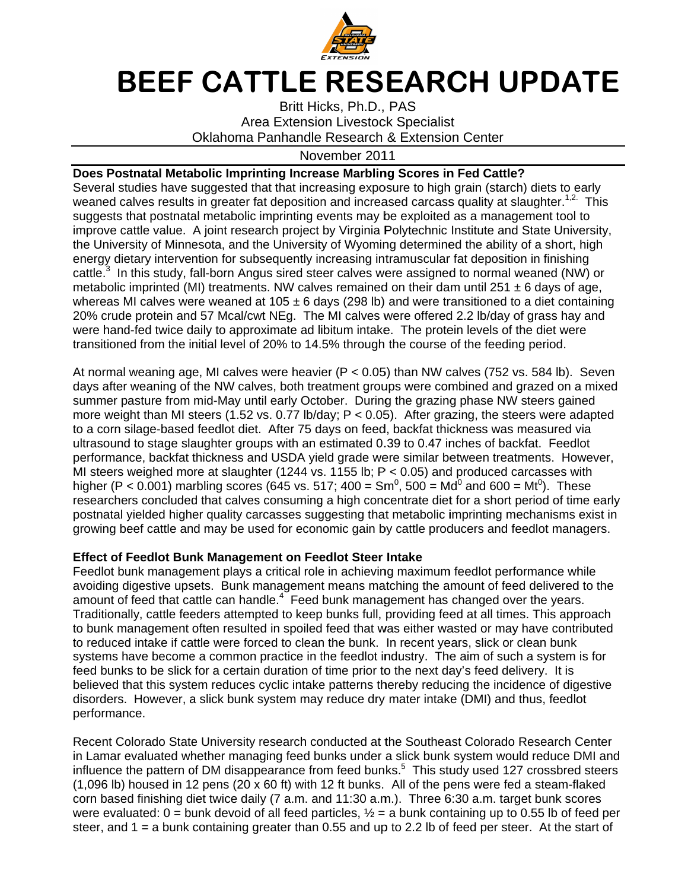

## BEEF CATTLE RESEARCH UPDATE

Oklahoma Panhandle Research & Extension Center Area Extension Livestock Specialist Specialist Britt Hicks, Ph.D., PAS

## November November 201

## **Does Postnatal Metabolic Imprinting Increase Marbling Scores in Fed Cattle?**

Several studies have suggested that that increasing exposure to high grain (starch) diets to early Several studies have suggested that that increasing exposure to high grain (starch) diets to early<br>weaned calves results in greater fat deposition and increased carcass quality at slaughter.<sup>1,2.</sup> This suggests that postnatal metabolic imprinting events may be exploited as a management tool to<br>improve cattle value. A joint research project by Virginia Polytechnic Institute and State Univers suggests that postnatal metabolic imprinting events may be exploited as a management tool to<br>improve cattle value. A joint research project by Virginia Polytechnic Institute and State University, the University of Minnesota, and the University of Wyoming suggests that postnatal metabolic imprinting events may be exploited as a management tool to improve cattle value. A joint research project by Virginia Polytechnic Institute and State University of Minnesota, and the Unive energy dietary intervention for subsequently increasing intramuscular fat deposition in finishing<br>cattle.<sup>3</sup> In this study, fall-born Angus sired steer calves were assigned to normal weaned (NW) or cattle.<sup>3</sup> In this study, fall-born Angus sired steer calves were assigned to normal weaned (NW) or<br>metabolic imprinted (MI) treatments. NW calves remained on their dam until 251 ± 6 days of age, metabolic imprinted (MI) treatments. NW calves remained on their dam until 251 ± 6 days of age,<br>whereas MI calves were weaned at 105 ± 6 days (298 lb) and were transitioned to a diet containing energy dietary intervention for subsequently increasing intramuscular fat deposition in finishing<br>cattle.<sup>3</sup> In this study, fall-born Angus sired steer calves were assigned to normal weaned (NW) or<br>metabolic imprinted (MI 20% crude protein and 57 Mcal/cwt NEg. The MI calves were offered 2.2 lb/day of grass hay a<br>were hand-fed twice daily to approximate ad libitum intake. The protein levels of the diet were transitioned from the initial level of 20% to 14.5% through the course of the feeding period. fed twice daily to approximate ad libitum intake. The protein<br>I from the initial level of 20% to 14.5% through the course of<br>veaning age, MI calves were heavier (P < 0.05) than NW cal<sub>'</sub> BEEF CATTLE FR<br>
Britt Hicks<br>
Area Extension L<br>
Britt Hicks<br>
Area Extension L<br>
Solvahoma Panhandle Re<br>
calves results in greater fat depositon and<br>
studies have suggested that that increase<br>
studies have suggested that that is have suggested that that increasing exposure to high grain (starch) diets to early<br>s results in greater fat deposition and increased carcass quality at slaughter.<sup>1,2</sup> This<br>postnatal metabolic imprinting events may be e Britt Hicks, Ph.D., P.<br>Area Extension Livestock 8<br>
na Panhandle Research &<br>
November 2011<br>
printing Increase Marbiling<br>
d that that increasing exposure<br>
of that that increasing exposure<br>
incomprimiting events may be<br>
sear ed (MI) treatments. NW calves remained on their dam until 251  $\pm$  6 days of age, s were weaned at 105  $\pm$  6 days (298 lb) and were transitioned to a diet containing n and 57 Mcal/cwt NEg. The MI calves were offered 2.2

At normal weaning age days after weaning of the NW calves, both treatment groups were combined and grazed on a mixed summer pasture from mid-May until early October. During the grazing phase NW steers gained days after weaning of the NW calves, both treatment groups were combined and grazed on a mixed<br>summer pasture from mid-May until early October. During the grazing phase NW steers gained<br>more weight than MI steers (1.52 vs. to a corn silage-based feedlot diet. After 75 days on feed, backfat thickness was measure to a corn silage-based feedlot diet. After 75 days on feed, backfat thickness was measured via<br>ultrasound to stage slaughter groups with an estimated 0.39 to 0.47 inches of backfat. Feedlot performance, backfat thickness and USDA yield grade were similar between treatments. However, performance, backfat thickness and USDA yield grade were similar between treatments. Howev<br>MI steers weighed more at slaughter (1244 vs. 1155 lb; P < 0.05) and produced carcasses with higher (P < 0.001) marbling scores (645 vs. 517; 4 researchers concluded that calves consuming a high concentrate diet for a short period of time early researchers concluded that calves consuming a high concentrate diet for a short period of time early<br>postnatal yielded higher quality carcasses suggesting that metabolic imprinting mechanisms exist in postnatal yielded higher quality carcasses suggesting that metabolic imprinting mechanisms exist i<br>growing beef cattle and may be used for economic gain by cattle producers and feedlot managers. d from the initial level of 20% to 14.5% through the course<br>weaning age, MI calves were heavier (P < 0.05) than NW c<br>weaning of the NW calves, both treatment groups were col MI steers weighed more at slaughter (1244 vs. 1155 lb;  $P < 0.05$ ) and produced carcasses with<br>higher (P < 0.001) marbling scores (645 vs. 517; 400 = Sm<sup>0</sup>, 500 = Md<sup>0</sup> and 600 = Mt<sup>0</sup>). These<br>researchers concluded that ca MI calves were heavier  $(P < 0.05)$  $400 = Sm^0$ ,  $500 = Md^0$  and  $600 = Mt^0$ ). These from the initial level of 20% to 14.5% through the course of the feeding period.<br>eaning age, MI calves were heavier (P < 0.05) than NW calves (752 vs. 584 lb). Seveering of the NW calves, both treatment groups were combin exposure to high grain (starch) diets to early<br>chreased carcass quality at slaughter.<sup>1,2</sup> This may be exploited as a management tool to<br>inia Polytechnic Institute and State University<br>oroming determined the ability of a s alves consuming a high concentrate diet for a short period of time e<br>ty carcasses suggesting that metabolic imprinting mechanisms exis<br>be used for economic gain by cattle producers and feedlot manager<br>**agement on Feedlot S** is, both treatment groups were combined and grazed on a mixed<br>I early October. During the grazing phase NW steers gained<br>s. 0.77 lb/day; P < 0.05). After grazing, the steers were adapted<br>After 75 days on feed, backfat thi

## **Effect of Feedlot Bunk Management on Feedlot Steer Intake**

Feedlot bunk management plays a critical role in achieving maximum feedlot performance while Feedlot bunk management plays a critical role in achieving maximum feedlot performance while<br>avoiding digestive upsets. Bunk management means matching the amount of feed delivered to the amount of feed that cattle can handle. amount of feed that cattle can handle.<sup>4</sup> Feed<br>Traditionally, cattle feeders attempted to keep to bunk management often resulted in spoiled feed that was either wasted or may have contributed to reduced intake if cattle were forced to clean the bunk. to reduced intake if cattle were forced to clean the bunk. In recent years, slick or clean bunk<br>systems have become a common practice in the feedlot industry. The aim of such a system is for feed bunks to be slick for a certain duration of time prior to the next day's feed delivery. It is believed that this system reduces cyclic intake patterns thereby reducing the incidence of digestive systems have become a common practice in the feedlot industry. The aim of such a system is<br>feed bunks to be slick for a certain duration of time prior to the next day's feed delivery. It is<br>believed that this system reduce performance. disorders. However, a slick bunk system may reduce dry mater intake (DMI) and thus, feedlot<br>performance.<br>Recent Colorado State University research conducted at the Southeast Colorado Research Center bunk management plays a critical role in achieving maximum<br>digestive upsets. Bunk management means matching the are of feed that cattle can handle.<sup>4</sup> Feed bunk management has exally, cattle feeders attempted to keep bunks ttle and may be used for economic gain by cattle producers and feedlot managers.<br> **ot Bunk Management on Feedlot Steer Intake**<br>
anagement plays a critical role in achieving maximum feedlot performance while<br>
ve upsets. Bun oncluded that calves consuming a high concentrate diet for a short period of time ear<br>ded higher quality carcasses suggesting that metabolic imprinting mechanisms exist i<br>cattle and may be used for economic gain by cattle often resulted in spoiled feed that was either wasted or may have<br>title were forced to clean the bunk. In recent years, slick or clean<br>a a common practice in the feedlot industry. The aim of such a sy<br>for a certain duratio that metabolic imprinting mechanisms exist in<br>n by cattle producers and feedlot managers.<br>**eer Intake**<br>wing maximum feedlot performance while<br>matching the amount of feed delivered to the<br>nagement has changed over the years 'as either wasted or may have<br>In recent years, slick or clean management has changed over the years<br>s full, providing feed at all times. This app<br>that was either wasted or may have contr<br>punk. In recent years, slick or clean bunk Feedlot Steer Intake<br>
al role in achieving maximum feedlot performance while<br>
ement means matching the amount of feed delivered to the<br>
Feed bunk management has changed over the years.<br>
keep bunks full, providing feed at a

disorders. However, a slick bunk system may reduce dry mater intake (DMI) and thus, feedlot<br>performance.<br>Recent Colorado State University research conducted at the Southeast Colorado Research Cen<br>in Lamar evaluated whether influence the pattern of DM disappearance from feed bunks. This study used 127 crossbred steers in Lamar evaluated whether managing feed bunks under a slick bunk system would r<br>influence the pattern of DM disappearance from feed bunks.<sup>5</sup> This study used 127 cr<br>(1,096 lb) housed in 12 pens (20 x 60 ft) with 12 ft bu corn based finishing diet twice daily (7 a.m. and 11:30 a.m.). Three 6:30 a.m. target bunk scores were evaluated:  $0 =$  bunk devoid of all feed particles,  $\frac{1}{2} =$  a bunk containing up to 0.55 lb of feed per steer, and 1 = a bunk containing greater than 0.55 and up to 2.2 lb of feed per steer. At the start of a slick bunk system would reduce DMI ar<br>ks.<sup>5</sup> This study used 127 crossbred stee<br>All of the pens were fed a steam-flaked iteam-flaked<br>bunk scores<br>5 lb of feed p<br>At the start o